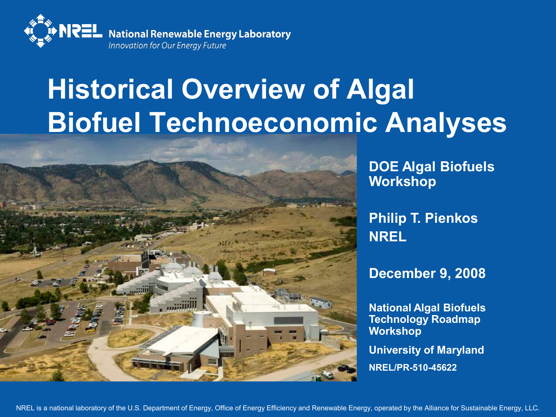

## **Historical Overview of Algal Biofuel Technoeconomic Analyses**



**DOE Algal Biofuels Workshop**

**Philip T. Pienkos NREL**

**December 9, 2008**

**National Algal Biofuels Technology Roadmap Workshop**

**University of Maryland NREL/PR-510-45622**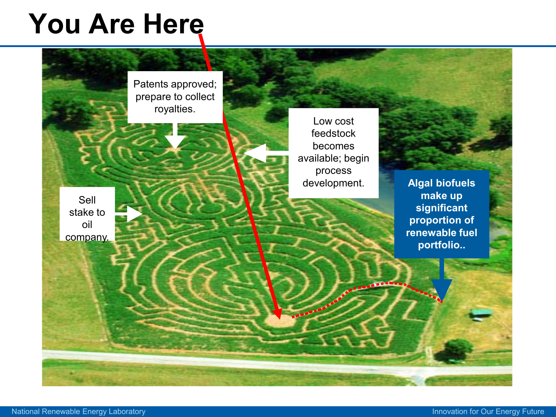### **You Are Here**

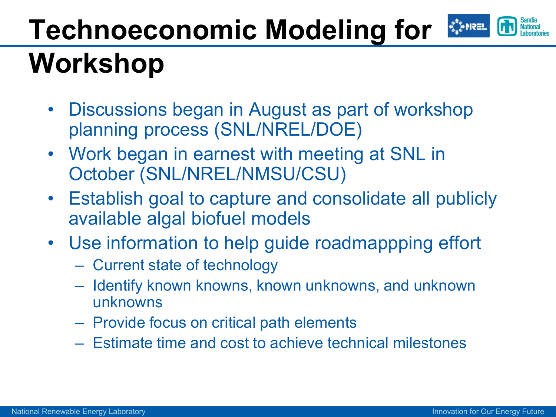#### **Technoeconomic Modeling for**  ₹ PNRI **Workshop**

- Discussions began in August as part of workshop planning process (SNL/NREL/DOE)
- Work began in earnest with meeting at SNL in October (SNL/NREL/NMSU/CSU)
- Establish goal to capture and consolidate all publicly available algal biofuel models
- Use information to help guide roadmappping effort
	- Current state of technology
	- Identify known knowns, known unknowns, and unknown unknowns
	- Provide focus on critical path elements
	- Estimate time and cost to achieve technical milestones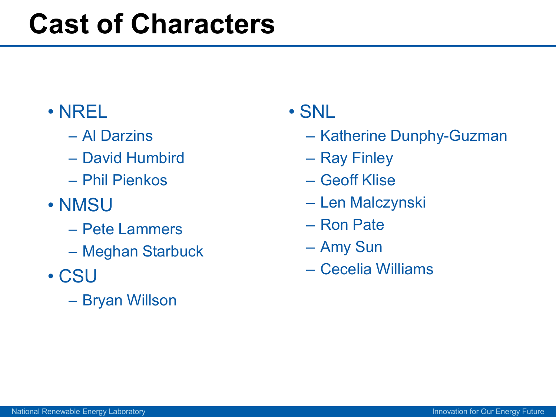### **Cast of Characters**

#### • NREL

- Al Darzins
- David Humbird
- Phil Pienkos
- NMSU
	- Pete Lammers
	- Meghan Starbuck
- CSU
	- Bryan Willson

#### • SNL

- Katherine Dunphy-Guzman
- Ray Finley
- Geoff Klise
- Len Malczynski
- Ron Pate
- Amy Sun
- Cecelia Williams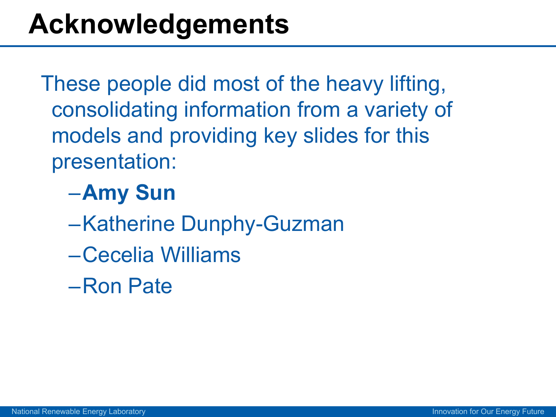These people did most of the heavy lifting, consolidating information from a variety of models and providing key slides for this presentation:

#### –**Amy Sun**

- –Katherine Dunphy-Guzman
- –Cecelia Williams
- –Ron Pate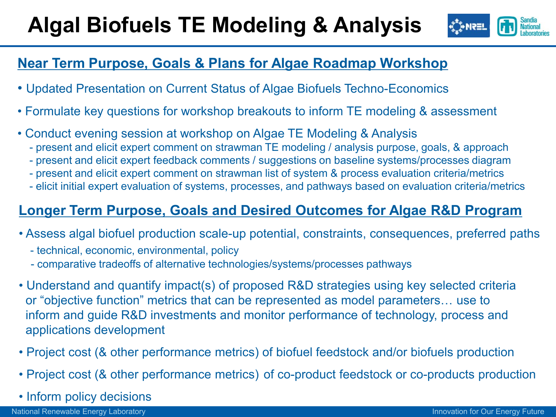#### **Algal Biofuels TE Modeling & Analysis**



#### **Near Term Purpose, Goals & Plans for Algae Roadmap Workshop**

- Updated Presentation on Current Status of Algae Biofuels Techno-Economics
- Formulate key questions for workshop breakouts to inform TE modeling & assessment
- Conduct evening session at workshop on Algae TE Modeling & Analysis
	- present and elicit expert comment on strawman TE modeling / analysis purpose, goals, & approach
	- present and elicit expert feedback comments / suggestions on baseline systems/processes diagram
	- present and elicit expert comment on strawman list of system & process evaluation criteria/metrics
	- elicit initial expert evaluation of systems, processes, and pathways based on evaluation criteria/metrics

#### **Longer Term Purpose, Goals and Desired Outcomes for Algae R&D Program**

- Assess algal biofuel production scale-up potential, constraints, consequences, preferred paths
	- technical, economic, environmental, policy
	- comparative tradeoffs of alternative technologies/systems/processes pathways
- Understand and quantify impact(s) of proposed R&D strategies using key selected criteria or "objective function" metrics that can be represented as model parameters… use to inform and guide R&D investments and monitor performance of technology, process and applications development
- Project cost (& other performance metrics) of biofuel feedstock and/or biofuels production
- Project cost (& other performance metrics) of co-product feedstock or co-products production
- Inform policy decisions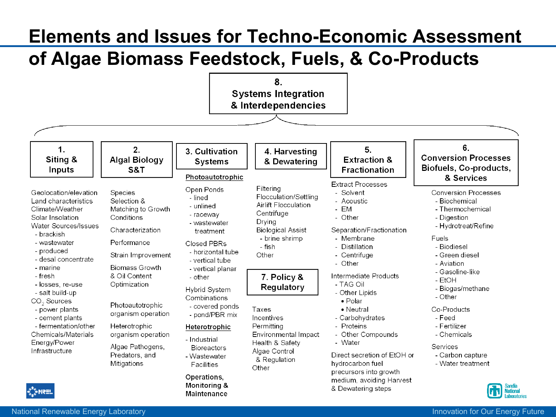#### **Elements and Issues for Techno-Economic Assessment**

#### **of Algae Biomass Feedstock, Fuels, & Co-Products**

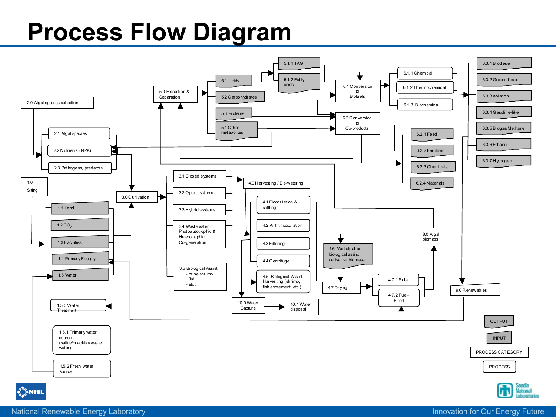#### **Process Flow Diagram**



National Renewable Energy Laboratory **International Renewable Energy Future** Innovation for Our Energy Future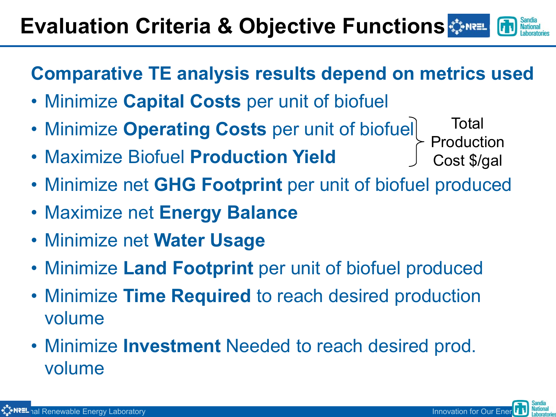#### **Evaluation Criteria & Objective Functions**  $\bullet$

**Comparative TE analysis results depend on metrics used**

- Minimize **Capital Costs** per unit of biofuel
- Minimize **Operating Costs** per unit of biofuel Production
- Maximize Biofuel **Production Yield**
- Minimize net **GHG Footprint** per unit of biofuel produced
- Maximize net **Energy Balance**
- Minimize net **Water Usage**
- Minimize **Land Footprint** per unit of biofuel produced
- Minimize **Time Required** to reach desired production volume
- Minimize **Investment** Needed to reach desired prod. volume



Total

Cost \$/gal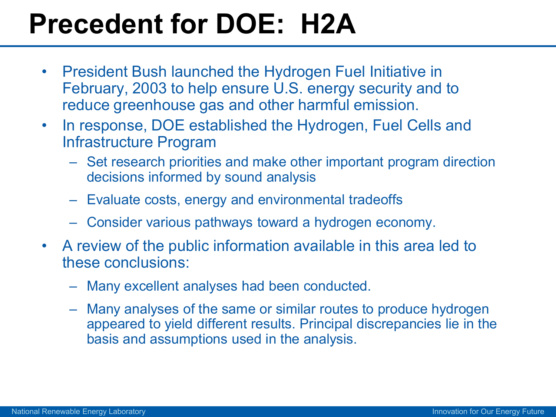## **Precedent for DOE: H2A**

- President Bush launched the Hydrogen Fuel Initiative in February, 2003 to help ensure U.S. energy security and to reduce greenhouse gas and other harmful emission.
- In response, DOE established the Hydrogen, Fuel Cells and Infrastructure Program
	- Set research priorities and make other important program direction decisions informed by sound analysis
	- Evaluate costs, energy and environmental tradeoffs
	- Consider various pathways toward a hydrogen economy.
- A review of the public information available in this area led to these conclusions:
	- Many excellent analyses had been conducted.
	- Many analyses of the same or similar routes to produce hydrogen appeared to yield different results. Principal discrepancies lie in the basis and assumptions used in the analysis.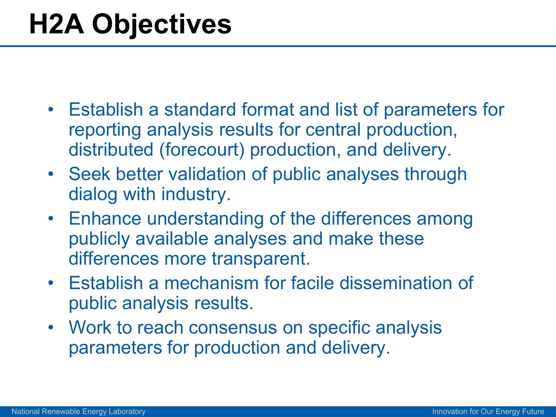## **H2A Objectives**

- Establish a standard format and list of parameters for reporting analysis results for central production, distributed (forecourt) production, and delivery.
- Seek better validation of public analyses through dialog with industry.
- Enhance understanding of the differences among publicly available analyses and make these differences more transparent.
- Establish a mechanism for facile dissemination of public analysis results.
- Work to reach consensus on specific analysis parameters for production and delivery.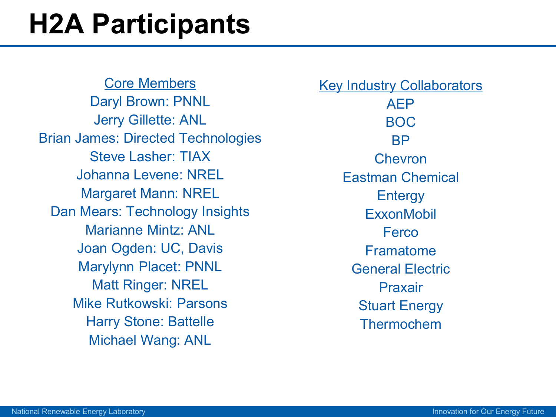## **H2A Participants**

#### Core Members

Daryl Brown: PNNL Jerry Gillette: ANL Brian James: Directed Technologies Steve Lasher: TIAX Johanna Levene: NREL Margaret Mann: NREL Dan Mears: Technology Insights Marianne Mintz: ANL Joan Ogden: UC, Davis Marylynn Placet: PNNL Matt Ringer: NREL Mike Rutkowski: Parsons Harry Stone: Battelle Michael Wang: ANL

**Key Industry Collaborators** AEP BOC BP Chevron Eastman Chemical Entergy **ExxonMobil** Ferco Framatome General Electric Praxair Stuart Energy Thermochem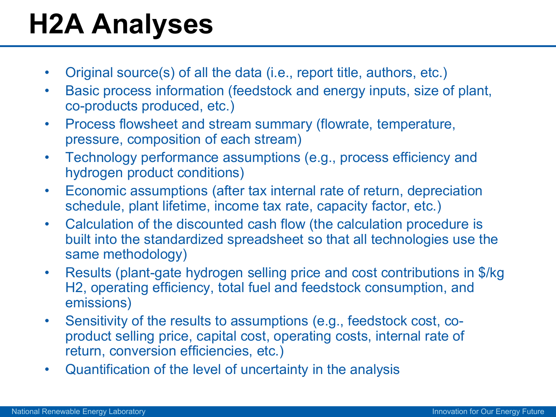# **H2A Analyses**

- Original source(s) of all the data (i.e., report title, authors, etc.)
- Basic process information (feedstock and energy inputs, size of plant, co-products produced, etc.)
- Process flowsheet and stream summary (flowrate, temperature, pressure, composition of each stream)
- Technology performance assumptions (e.g., process efficiency and hydrogen product conditions)
- Economic assumptions (after tax internal rate of return, depreciation schedule, plant lifetime, income tax rate, capacity factor, etc.)
- Calculation of the discounted cash flow (the calculation procedure is built into the standardized spreadsheet so that all technologies use the same methodology)
- Results (plant-gate hydrogen selling price and cost contributions in \$/kg H2, operating efficiency, total fuel and feedstock consumption, and emissions)
- Sensitivity of the results to assumptions (e.g., feedstock cost, coproduct selling price, capital cost, operating costs, internal rate of return, conversion efficiencies, etc.)
- Quantification of the level of uncertainty in the analysis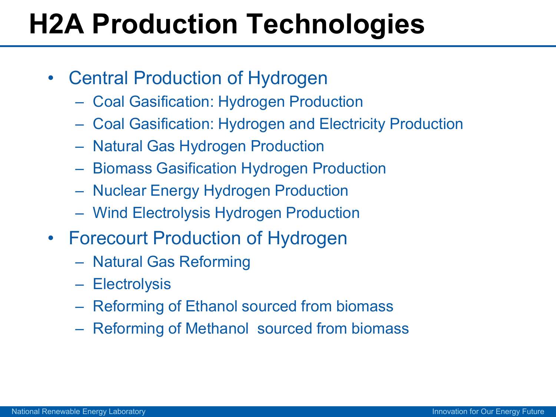# **H2A Production Technologies**

- Central Production of Hydrogen
	- Coal Gasification: Hydrogen Production
	- Coal Gasification: Hydrogen and Electricity Production
	- Natural Gas Hydrogen Production
	- Biomass Gasification Hydrogen Production
	- Nuclear Energy Hydrogen Production
	- Wind Electrolysis Hydrogen Production
- Forecourt Production of Hydrogen
	- Natural Gas Reforming
	- Electrolysis
	- Reforming of Ethanol sourced from biomass
	- Reforming of Methanol sourced from biomass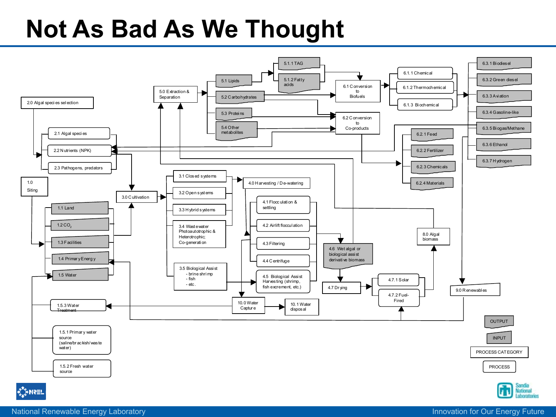#### **Not As Bad As We Thought**

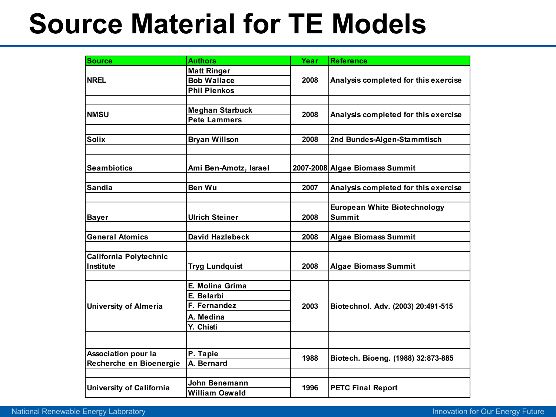## **Source Material for TE Models**

| <b>Source</b>                   | <b>Authors</b>         | Year | <b>Reference</b>                                     |  |  |
|---------------------------------|------------------------|------|------------------------------------------------------|--|--|
| <b>NREL</b>                     | <b>Matt Ringer</b>     |      |                                                      |  |  |
|                                 | <b>Bob Wallace</b>     | 2008 | Analysis completed for this exercise                 |  |  |
|                                 | <b>Phil Pienkos</b>    |      |                                                      |  |  |
|                                 |                        |      |                                                      |  |  |
| <b>NMSU</b>                     | <b>Meghan Starbuck</b> | 2008 | Analysis completed for this exercise                 |  |  |
|                                 | <b>Pete Lammers</b>    |      |                                                      |  |  |
|                                 |                        |      |                                                      |  |  |
| <b>Solix</b>                    | <b>Bryan Willson</b>   | 2008 | 2nd Bundes-Algen-Stammtisch                          |  |  |
|                                 |                        |      |                                                      |  |  |
|                                 |                        |      |                                                      |  |  |
| <b>Seambiotics</b>              | Ami Ben-Amotz, Israel  |      | 2007-2008 Algae Biomass Summit                       |  |  |
|                                 |                        |      |                                                      |  |  |
| <b>Sandia</b>                   | Ben Wu                 | 2007 | Analysis completed for this exercise                 |  |  |
|                                 |                        |      |                                                      |  |  |
| <b>Bayer</b>                    |                        | 2008 | <b>European White Biotechnology</b><br><b>Summit</b> |  |  |
|                                 | <b>Ulrich Steiner</b>  |      |                                                      |  |  |
| <b>General Atomics</b>          | <b>David Hazlebeck</b> | 2008 | <b>Algae Biomass Summit</b>                          |  |  |
|                                 |                        |      |                                                      |  |  |
| California Polytechnic          |                        |      |                                                      |  |  |
| Institute                       | <b>Tryg Lundquist</b>  | 2008 | <b>Algae Biomass Summit</b>                          |  |  |
|                                 |                        |      |                                                      |  |  |
| <b>University of Almeria</b>    | E. Molina Grima        |      | Biotechnol. Adv. (2003) 20:491-515                   |  |  |
|                                 | E. Belarbi             |      |                                                      |  |  |
|                                 | F. Fernandez           | 2003 |                                                      |  |  |
|                                 | A. Medina              |      |                                                      |  |  |
|                                 | Y. Chisti              |      |                                                      |  |  |
|                                 |                        |      |                                                      |  |  |
|                                 |                        |      |                                                      |  |  |
| <b>Association pour la</b>      | P. Tapie               | 1988 | Biotech. Bioeng. (1988) 32:873-885                   |  |  |
| Recherche en Bioenergie         | A. Bernard             |      |                                                      |  |  |
|                                 |                        |      |                                                      |  |  |
| <b>University of California</b> | John Benemann          | 1996 | <b>PETC Final Report</b>                             |  |  |
|                                 | <b>William Oswald</b>  |      |                                                      |  |  |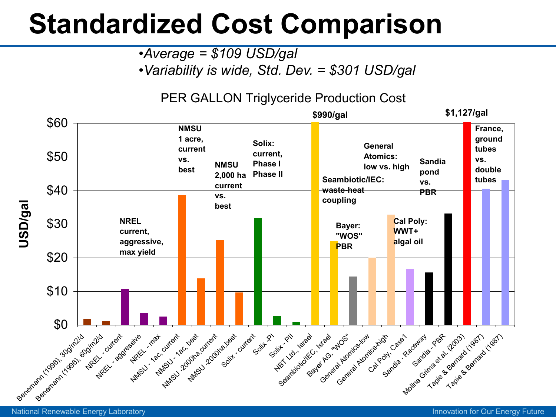## **Standardized Cost Comparison**

•*Average = \$109 USD/gal*

•*Variability is wide, Std. Dev. = \$301 USD/gal*

#### PER GALLON Triglyceride Production Cost



National Renewable Energy Laboratory **Innovation Funds** Control of Current Control of Current Current Current Current Current Current Current Current Current Current Current Current Current Current Current Current Current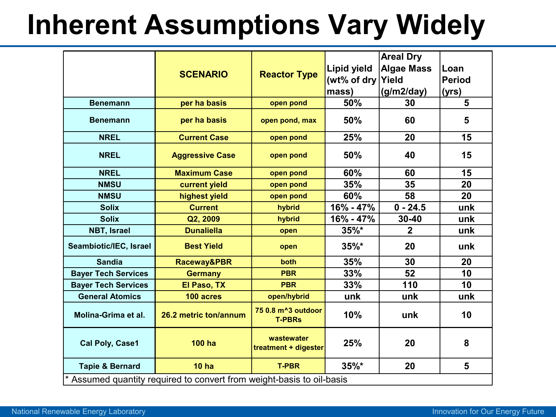## **Inherent Assumptions Vary Widely**

|                                                                     | <b>SCENARIO</b>        | <b>Reactor Type</b>                              | Lipid yield<br>(wt% of dry Yield<br>mass) | <b>Areal Dry</b><br><b>Algae Mass</b><br>(g/m2/day) | Loan<br><b>Period</b><br>(yrs) |
|---------------------------------------------------------------------|------------------------|--------------------------------------------------|-------------------------------------------|-----------------------------------------------------|--------------------------------|
| <b>Benemann</b>                                                     | per ha basis           | open pond                                        | 50%                                       | 30                                                  | 5                              |
| <b>Benemann</b>                                                     | per ha basis           | open pond, max                                   | 50%                                       | 60                                                  | 5                              |
| <b>NREL</b>                                                         | <b>Current Case</b>    | open pond                                        | 25%                                       | 20                                                  | 15                             |
| <b>NREL</b>                                                         | <b>Aggressive Case</b> | open pond                                        | 50%                                       | 40                                                  | 15                             |
| <b>NREL</b>                                                         | <b>Maximum Case</b>    | open pond                                        | 60%                                       | 60                                                  | 15                             |
| <b>NMSU</b>                                                         | current yield          | open pond                                        | 35%                                       | 35                                                  | 20                             |
| <b>NMSU</b>                                                         | highest yield          | open pond                                        | 60%                                       | 58                                                  | 20                             |
| <b>Solix</b>                                                        | <b>Current</b>         | hybrid                                           | 16% - 47%                                 | $0 - 24.5$                                          | unk                            |
| <b>Solix</b>                                                        | Q2, 2009               | hybrid                                           | 16% - 47%                                 | $30 - 40$                                           | unk                            |
| <b>NBT, Israel</b>                                                  | <b>Dunaliella</b>      | open                                             | $35\%$ *                                  | $\mathbf 2$                                         | unk                            |
| Seambiotic/IEC, Israel                                              | <b>Best Yield</b>      | open                                             | $35\%$ *                                  | 20                                                  | unk                            |
| <b>Sandia</b>                                                       | Raceway&PBR            | both                                             | 35%                                       | 30                                                  | 20                             |
| <b>Bayer Tech Services</b>                                          | <b>Germany</b>         | <b>PBR</b>                                       | 33%                                       | 52                                                  | 10                             |
| <b>Bayer Tech Services</b>                                          | El Paso, TX            | <b>PBR</b>                                       | 33%                                       | 110                                                 | 10                             |
| <b>General Atomics</b>                                              | 100 acres              | open/hybrid                                      | unk                                       | unk                                                 | unk                            |
| Molina-Grima et al.                                                 | 26.2 metric ton/annum  | 75 0.8 m <sup>^</sup> 3 outdoor<br><b>T-PBRs</b> | 10%                                       | unk                                                 | 10                             |
| <b>Cal Poly, Case1</b>                                              | <b>100 ha</b>          | wastewater<br>treatment + digester               | 25%                                       | 20                                                  | 8                              |
| <b>Tapie &amp; Bernard</b>                                          | 10 <sub>ha</sub>       | <b>T-PBR</b>                                     | $35%$ *                                   | 20                                                  | 5                              |
| Assumed quantity required to convert from weight-basis to oil-basis |                        |                                                  |                                           |                                                     |                                |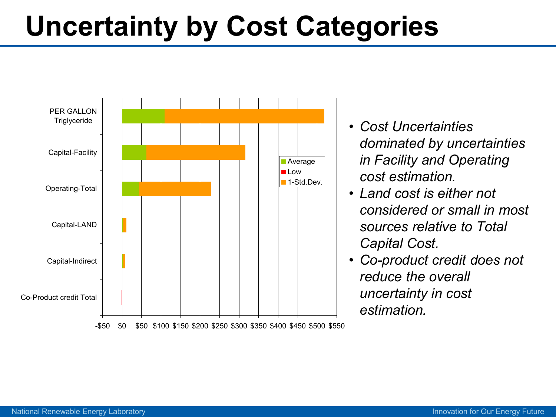## **Uncertainty by Cost Categories**



- *Cost Uncertainties dominated by uncertainties in Facility and Operating cost estimation.*
- *Land cost is either not considered or small in most sources relative to Total Capital Cost.*
- *Co-product credit does not reduce the overall uncertainty in cost estimation.*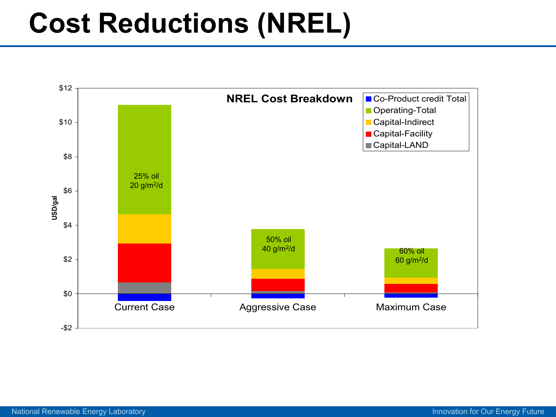## **Cost Reductions (NREL)**

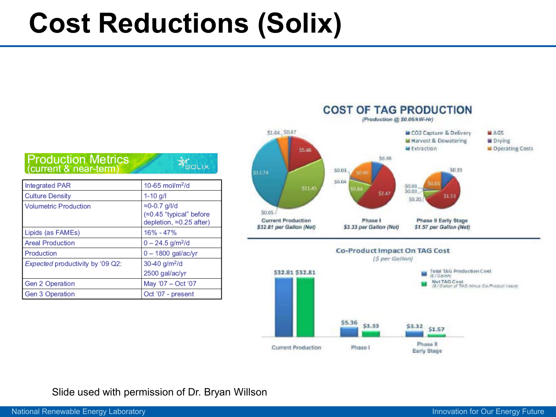## **Cost Reductions (Solix)**

**AS**OLIX



| ntegrated PAR                    | 10-65 mol/m $^{2}$ /d                                                                        |  |  |
|----------------------------------|----------------------------------------------------------------------------------------------|--|--|
| <b>Culture Density</b>           | $1 - 10$ g/l                                                                                 |  |  |
| <b>Volumetric Production</b>     | $\approx$ 0-0.7 g/l/d<br>$\approx 0.45$ "typical" before<br>depletion, $\approx 0.25$ after) |  |  |
| Lipids (as FAMEs)                | 16% - 47%                                                                                    |  |  |
| <b>Areal Production</b>          | $0 - 24.5$ g/m <sup>2</sup> /d                                                               |  |  |
| <b>Production</b>                | $0 - 1800$ gal/ac/yr                                                                         |  |  |
| Expected productivity by '09 Q2: | $30-40$ g/m <sup>2</sup> /d                                                                  |  |  |
|                                  | 2500 gal/ac/yr                                                                               |  |  |
| <b>Gen 2 Operation</b>           | May '07 - Oct '07                                                                            |  |  |
| <b>Gen 3 Operation</b>           | Oct '07 - present                                                                            |  |  |



Early Stage

#### Slide used with permission of Dr. Bryan Willson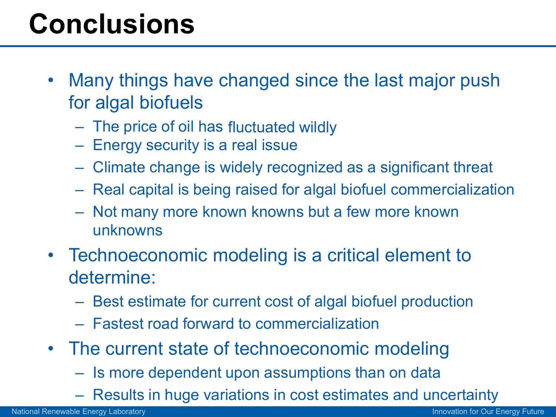## **Conclusions**

- Many things have changed since the last major push for algal biofuels
	- The price of oil has fluctuated wildly
	- Energy security is a real issue
	- Climate change is widely recognized as a significant threat
	- Real capital is being raised for algal biofuel commercialization
	- Not many more known knowns but a few more known unknowns
- Technoeconomic modeling is a critical element to determine:
	- Best estimate for current cost of algal biofuel production
	- Fastest road forward to commercialization
- The current state of technoeconomic modeling
	- Is more dependent upon assumptions than on data
	- Results in huge variations in cost estimates and uncertainty